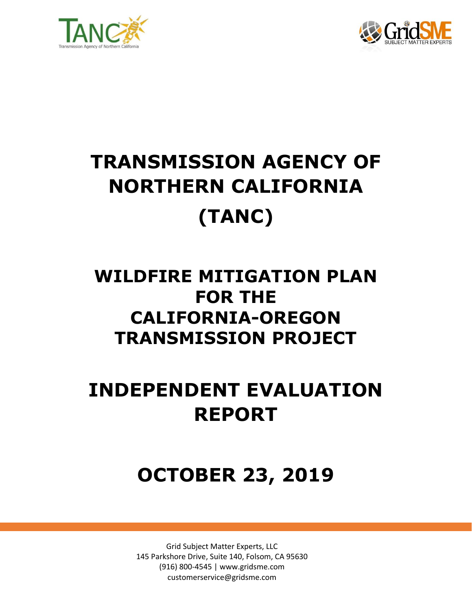



# **TRANSMISSION AGENCY OF NORTHERN CALIFORNIA (TANC)**

### **WILDFIRE MITIGATION PLAN FOR THE CALIFORNIA-OREGON TRANSMISSION PROJECT**

## **INDEPENDENT EVALUATION REPORT**

### **OCTOBER 23, 2019**

Grid Subject Matter Experts, LLC 145 Parkshore Drive, Suite 140, Folsom, CA 95630 (916) 800-4545 | www.gridsme.com customerservice@gridsme.com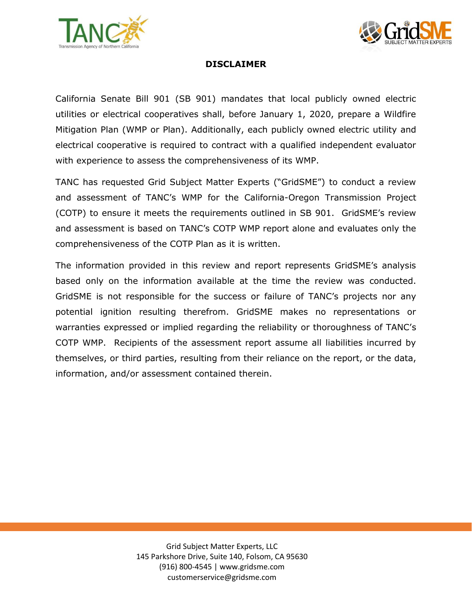



#### **DISCLAIMER**

California Senate Bill 901 (SB 901) mandates that local publicly owned electric utilities or electrical cooperatives shall, before January 1, 2020, prepare a Wildfire Mitigation Plan (WMP or Plan). Additionally, each publicly owned electric utility and electrical cooperative is required to contract with a qualified independent evaluator with experience to assess the comprehensiveness of its WMP.

TANC has requested Grid Subject Matter Experts ("GridSME") to conduct a review and assessment of TANC's WMP for the California-Oregon Transmission Project (COTP) to ensure it meets the requirements outlined in SB 901. GridSME's review and assessment is based on TANC's COTP WMP report alone and evaluates only the comprehensiveness of the COTP Plan as it is written.

The information provided in this review and report represents GridSME's analysis based only on the information available at the time the review was conducted. GridSME is not responsible for the success or failure of TANC's projects nor any potential ignition resulting therefrom. GridSME makes no representations or warranties expressed or implied regarding the reliability or thoroughness of TANC's COTP WMP. Recipients of the assessment report assume all liabilities incurred by themselves, or third parties, resulting from their reliance on the report, or the data, information, and/or assessment contained therein.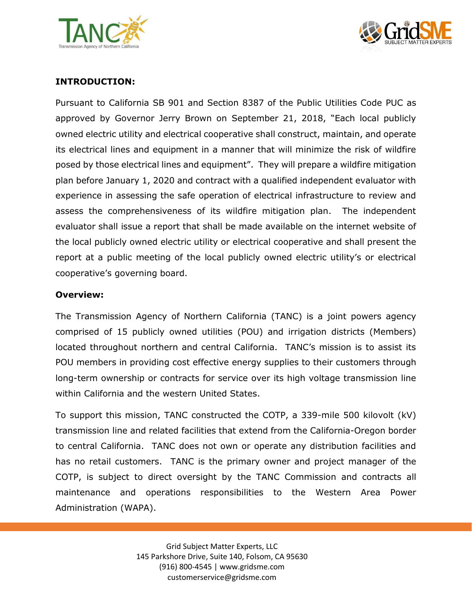



#### **INTRODUCTION:**

Pursuant to California SB 901 and Section 8387 of the Public Utilities Code PUC as approved by Governor Jerry Brown on September 21, 2018, "Each local publicly owned electric utility and electrical cooperative shall construct, maintain, and operate its electrical lines and equipment in a manner that will minimize the risk of wildfire posed by those electrical lines and equipment". They will prepare a wildfire mitigation plan before January 1, 2020 and contract with a qualified independent evaluator with experience in assessing the safe operation of electrical infrastructure to review and assess the comprehensiveness of its wildfire mitigation plan. The independent evaluator shall issue a report that shall be made available on the internet website of the local publicly owned electric utility or electrical cooperative and shall present the report at a public meeting of the local publicly owned electric utility's or electrical cooperative's governing board.

#### **Overview:**

The Transmission Agency of Northern California (TANC) is a joint powers agency comprised of 15 publicly owned utilities (POU) and irrigation districts (Members) located throughout northern and central California. TANC's mission is to assist its POU members in providing cost effective energy supplies to their customers through long-term ownership or contracts for service over its high voltage transmission line within California and the western United States.

To support this mission, TANC constructed the COTP, a 339-mile 500 kilovolt (kV) transmission line and related facilities that extend from the California-Oregon border to central California. TANC does not own or operate any distribution facilities and has no retail customers. TANC is the primary owner and project manager of the COTP, is subject to direct oversight by the TANC Commission and contracts all maintenance and operations responsibilities to the Western Area Power Administration (WAPA).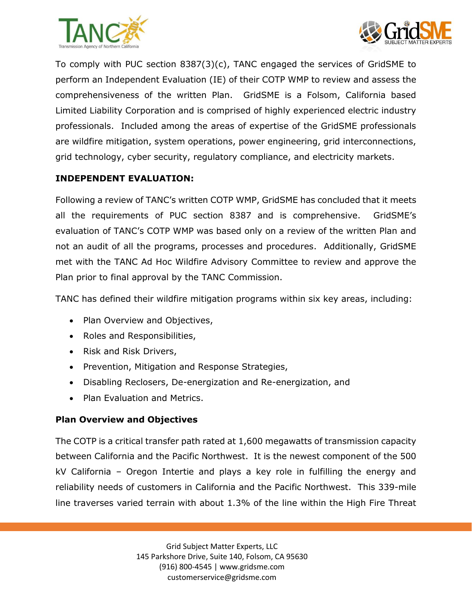



To comply with PUC section 8387(3)(c), TANC engaged the services of GridSME to perform an Independent Evaluation (IE) of their COTP WMP to review and assess the comprehensiveness of the written Plan. GridSME is a Folsom, California based Limited Liability Corporation and is comprised of highly experienced electric industry professionals. Included among the areas of expertise of the GridSME professionals are wildfire mitigation, system operations, power engineering, grid interconnections, grid technology, cyber security, regulatory compliance, and electricity markets.

#### **INDEPENDENT EVALUATION:**

Following a review of TANC's written COTP WMP, GridSME has concluded that it meets all the requirements of PUC section 8387 and is comprehensive. GridSME's evaluation of TANC's COTP WMP was based only on a review of the written Plan and not an audit of all the programs, processes and procedures. Additionally, GridSME met with the TANC Ad Hoc Wildfire Advisory Committee to review and approve the Plan prior to final approval by the TANC Commission.

TANC has defined their wildfire mitigation programs within six key areas, including:

- Plan Overview and Objectives,
- Roles and Responsibilities,
- Risk and Risk Drivers,
- Prevention, Mitigation and Response Strategies,
- Disabling Reclosers, De-energization and Re-energization, and
- Plan Evaluation and Metrics.

#### **Plan Overview and Objectives**

The COTP is a critical transfer path rated at 1,600 megawatts of transmission capacity between California and the Pacific Northwest. It is the newest component of the 500 kV California – Oregon Intertie and plays a key role in fulfilling the energy and reliability needs of customers in California and the Pacific Northwest. This 339-mile line traverses varied terrain with about 1.3% of the line within the High Fire Threat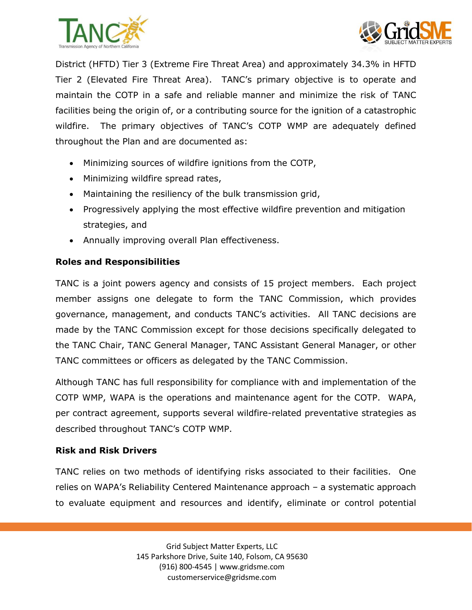



District (HFTD) Tier 3 (Extreme Fire Threat Area) and approximately 34.3% in HFTD Tier 2 (Elevated Fire Threat Area). TANC's primary objective is to operate and maintain the COTP in a safe and reliable manner and minimize the risk of TANC facilities being the origin of, or a contributing source for the ignition of a catastrophic wildfire. The primary objectives of TANC's COTP WMP are adequately defined throughout the Plan and are documented as:

- Minimizing sources of wildfire ignitions from the COTP,
- Minimizing wildfire spread rates,
- Maintaining the resiliency of the bulk transmission grid,
- Progressively applying the most effective wildfire prevention and mitigation strategies, and
- Annually improving overall Plan effectiveness.

#### **Roles and Responsibilities**

TANC is a joint powers agency and consists of 15 project members. Each project member assigns one delegate to form the TANC Commission, which provides governance, management, and conducts TANC's activities. All TANC decisions are made by the TANC Commission except for those decisions specifically delegated to the TANC Chair, TANC General Manager, TANC Assistant General Manager, or other TANC committees or officers as delegated by the TANC Commission.

Although TANC has full responsibility for compliance with and implementation of the COTP WMP, WAPA is the operations and maintenance agent for the COTP. WAPA, per contract agreement, supports several wildfire-related preventative strategies as described throughout TANC's COTP WMP.

#### **Risk and Risk Drivers**

TANC relies on two methods of identifying risks associated to their facilities. One relies on WAPA's Reliability Centered Maintenance approach – a systematic approach to evaluate equipment and resources and identify, eliminate or control potential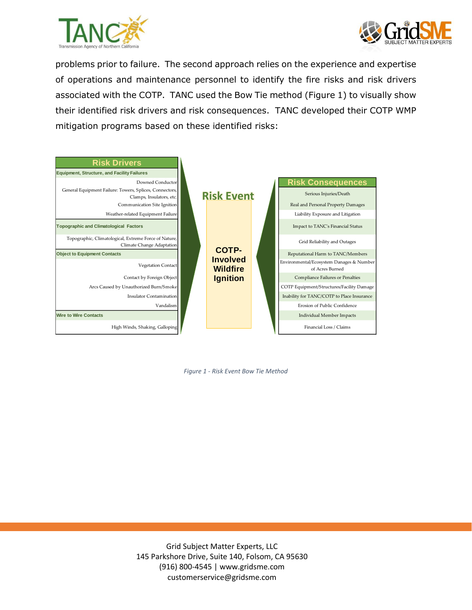



problems prior to failure. The second approach relies on the experience and expertise of operations and maintenance personnel to identify the fire risks and risk drivers associated with the COTP. TANC used the Bow Tie method (Figure 1) to visually show their identified risk drivers and risk consequences. TANC developed their COTP WMP mitigation programs based on these identified risks:



*Figure 1 - Risk Event Bow Tie Method*

Grid Subject Matter Experts, LLC 145 Parkshore Drive, Suite 140, Folsom, CA 95630 (916) 800-4545 | www.gridsme.com customerservice@gridsme.com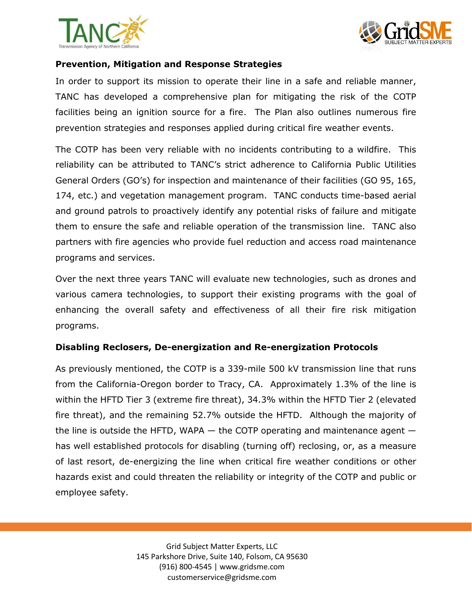



#### **Prevention, Mitigation and Response Strategies**

In order to support its mission to operate their line in a safe and reliable manner, TANC has developed a comprehensive plan for mitigating the risk of the COTP facilities being an ignition source for a fire. The Plan also outlines numerous fire prevention strategies and responses applied during critical fire weather events.

The COTP has been very reliable with no incidents contributing to a wildfire. This reliability can be attributed to TANC's strict adherence to California Public Utilities General Orders (GO's) for inspection and maintenance of their facilities (GO 95, 165, 174, etc.) and vegetation management program. TANC conducts time-based aerial and ground patrols to proactively identify any potential risks of failure and mitigate them to ensure the safe and reliable operation of the transmission line. TANC also partners with fire agencies who provide fuel reduction and access road maintenance programs and services.

Over the next three years TANC will evaluate new technologies, such as drones and various camera technologies, to support their existing programs with the goal of enhancing the overall safety and effectiveness of all their fire risk mitigation programs.

#### **Disabling Reclosers, De-energization and Re-energization Protocols**

As previously mentioned, the COTP is a 339-mile 500 kV transmission line that runs from the California-Oregon border to Tracy, CA. Approximately 1.3% of the line is within the HFTD Tier 3 (extreme fire threat), 34.3% within the HFTD Tier 2 (elevated fire threat), and the remaining 52.7% outside the HFTD. Although the majority of the line is outside the HFTD, WAPA — the COTP operating and maintenance agent has well established protocols for disabling (turning off) reclosing, or, as a measure of last resort, de-energizing the line when critical fire weather conditions or other hazards exist and could threaten the reliability or integrity of the COTP and public or employee safety.

> Grid Subject Matter Experts, LLC 145 Parkshore Drive, Suite 140, Folsom, CA 95630 (916) 800-4545 | www.gridsme.com customerservice@gridsme.com